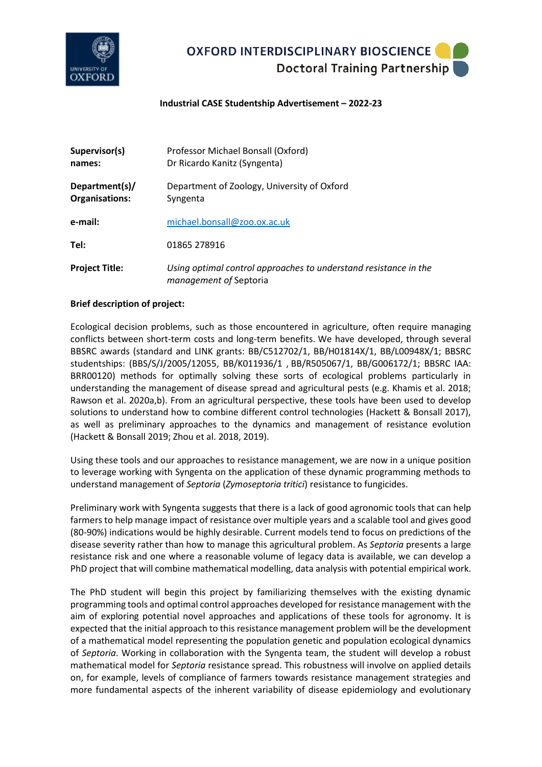

## **OXFORD INTERDISCIPLINARY BIOSCIENCE** Doctoral Training Partnership

### **Industrial CASE Studentship Advertisement – 2022-23**

| Supervisor(s)<br>names:          | Professor Michael Bonsall (Oxford)<br>Dr Ricardo Kanitz (Syngenta)                         |
|----------------------------------|--------------------------------------------------------------------------------------------|
| Department(s)/<br>Organisations: | Department of Zoology, University of Oxford<br>Syngenta                                    |
| e-mail:                          | michael.bonsall@zoo.ox.ac.uk                                                               |
| Tel:                             | 01865 278916                                                                               |
| <b>Project Title:</b>            | Using optimal control approaches to understand resistance in the<br>management of Septoria |

#### **Brief description of project:**

Ecological decision problems, such as those encountered in agriculture, often require managing conflicts between short‐term costs and long‐term benefits. We have developed, through several BBSRC awards (standard and LINK grants: BB/C512702/1, BB/H01814X/1, BB/L00948X/1; BBSRC studentships: (BBS/S/J/2005/12055, BB/K011936/1 , BB/R505067/1, BB/G006172/1; BBSRC IAA: BRR00120) methods for optimally solving these sorts of ecological problems particularly in understanding the management of disease spread and agricultural pests (e.g. Khamis et al. 2018; Rawson et al. 2020a,b). From an agricultural perspective, these tools have been used to develop solutions to understand how to combine different control technologies (Hackett & Bonsall 2017), as well as preliminary approaches to the dynamics and management of resistance evolution (Hackett & Bonsall 2019; Zhou et al. 2018, 2019).

Using these tools and our approaches to resistance management, we are now in a unique position to leverage working with Syngenta on the application of these dynamic programming methods to understand management of *Septoria* (*Zymoseptoria tritici*) resistance to fungicides.

Preliminary work with Syngenta suggests that there is a lack of good agronomic tools that can help farmers to help manage impact of resistance over multiple years and a scalable tool and gives good (80-90%) indications would be highly desirable. Current models tend to focus on predictions of the disease severity rather than how to manage this agricultural problem. As *Septoria* presents a large resistance risk and one where a reasonable volume of legacy data is available, we can develop a PhD project that will combine mathematical modelling, data analysis with potential empirical work.

The PhD student will begin this project by familiarizing themselves with the existing dynamic programming tools and optimal control approaches developed for resistance management with the aim of exploring potential novel approaches and applications of these tools for agronomy. It is expected that the initial approach to this resistance management problem will be the development of a mathematical model representing the population genetic and population ecological dynamics of *Septoria*. Working in collaboration with the Syngenta team, the student will develop a robust mathematical model for *Septoria* resistance spread. This robustness will involve on applied details on, for example, levels of compliance of farmers towards resistance management strategies and more fundamental aspects of the inherent variability of disease epidemiology and evolutionary